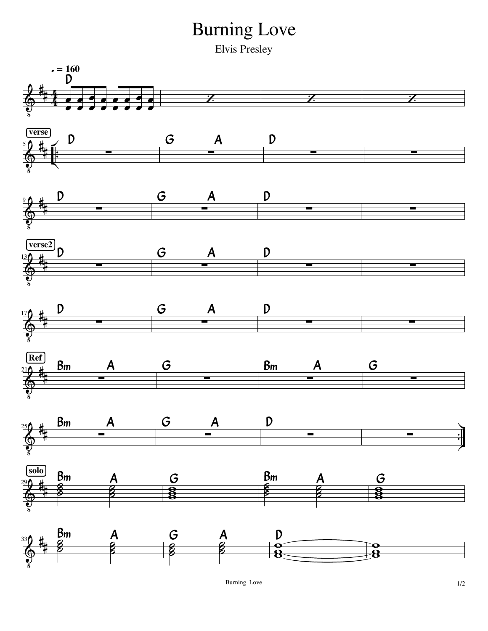## Burning Love

Elvis Presley